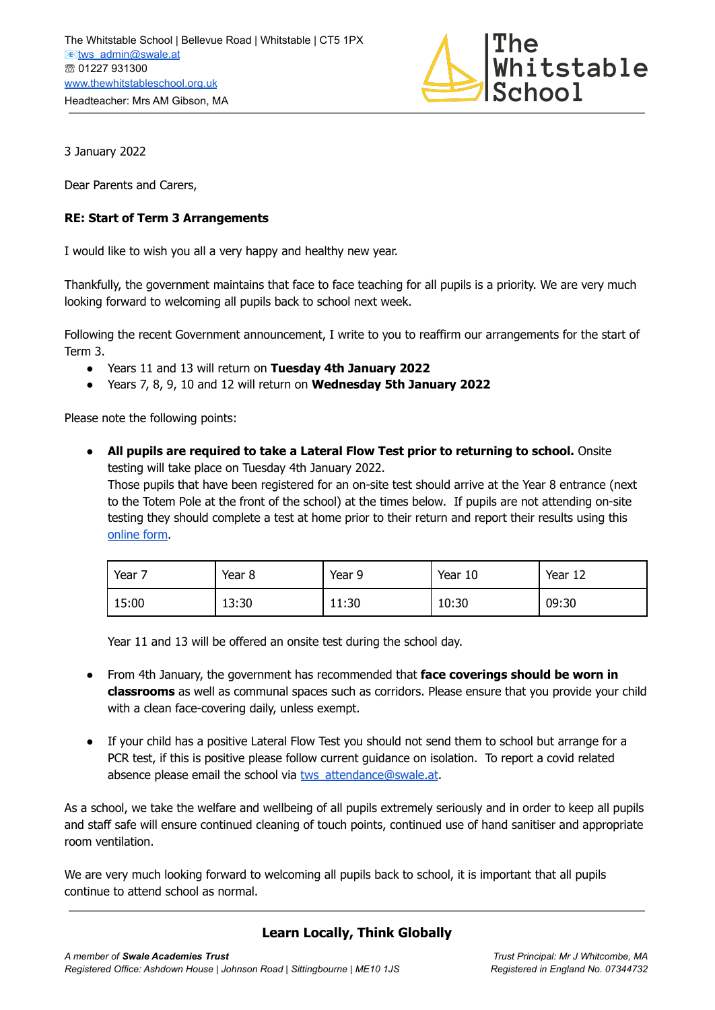

3 January 2022

Dear Parents and Carers,

## **RE: Start of Term 3 Arrangements**

I would like to wish you all a very happy and healthy new year.

Thankfully, the government maintains that face to face teaching for all pupils is a priority. We are very much looking forward to welcoming all pupils back to school next week.

Following the recent Government announcement, I write to you to reaffirm our arrangements for the start of Term 3.

- Years 11 and 13 will return on **Tuesday 4th January 2022**
- Years 7, 8, 9, 10 and 12 will return on **Wednesday 5th January 2022**

Please note the following points:

● **All pupils are required to take a Lateral Flow Test prior to returning to school.** Onsite testing will take place on Tuesday 4th January 2022.

Those pupils that have been registered for an on-site test should arrive at the Year 8 entrance (next to the Totem Pole at the front of the school) at the times below. If pupils are not attending on-site testing they should complete a test at home prior to their return and report their results using this [online](https://docs.google.com/forms/d/e/1FAIpQLScJdPJRbvF5JnC4wzIxZeH5A3ZwDseZHN4BF9E7yMnEukY4oQ/viewform?vc=0&c=0&w=1&flr=0) form.

| Year 7 | Year 8 | Year 9 | Year 10 | Year 12 |
|--------|--------|--------|---------|---------|
| 15:00  | 13:30  | 11:30  | 10:30   | 09:30   |

Year 11 and 13 will be offered an onsite test during the school day.

- From 4th January, the government has recommended that **face coverings should be worn in classrooms** as well as communal spaces such as corridors. Please ensure that you provide your child with a clean face-covering daily, unless exempt.
- If your child has a positive Lateral Flow Test you should not send them to school but arrange for a PCR test, if this is positive please follow current guidance on isolation. To report a covid related absence please email the school via [tws\\_attendance@swale.at](mailto:tws_attendance@swale.at).

As a school, we take the welfare and wellbeing of all pupils extremely seriously and in order to keep all pupils and staff safe will ensure continued cleaning of touch points, continued use of hand sanitiser and appropriate room ventilation.

We are very much looking forward to welcoming all pupils back to school, it is important that all pupils continue to attend school as normal.

## **Learn Locally, Think Globally**